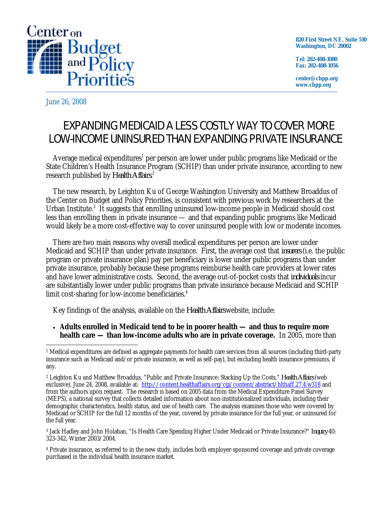

**820 First Street NE, Suite 510 Washington, DC 20002** 

**Tel: 202-408-1080 Fax: 202-408-1056** 

**center@cbpp.org www.cbpp.org** 

June 26, 2008

## EXPANDING MEDICAID A LESS COSTLY WAY TO COVER MORE LOW-INCOME UNINSURED THAN EXPANDING PRIVATE INSURANCE

Average medical expenditures<sup>1</sup> per person are lower under public programs like Medicaid or the State Children's Health Insurance Program (SCHIP) than under private insurance, according to new research published by *Health Affairs.*2

The new research, by Leighton Ku of George Washington University and Matthew Broaddus of the Center on Budget and Policy Priorities, is consistent with previous work by researchers at the Urban Institute.<sup>3</sup> It suggests that enrolling uninsured low-income people in Medicaid should cost less than enrolling them in private insurance — and that expanding public programs like Medicaid would likely be a more cost-effective way to cover uninsured people with low or moderate incomes.

There are two main reasons why overall medical expenditures per person are lower under Medicaid and SCHIP than under private insurance. First, the average cost that *insurers* (i.e. the public program or private insurance plan) pay per beneficiary is lower under public programs than under private insurance, probably because these programs reimburse health care providers at lower rates and have lower administrative costs. Second, the average out-of-pocket costs that *individuals* incur are substantially lower under public programs than private insurance because Medicaid and SCHIP limit cost-sharing for low-income beneficiaries.<sup>4</sup>

Key findings of the analysis, available on the *Health Affairs*website, include:

• **Adults enrolled in Medicaid tend to be in poorer health — and thus to require more health care — than low-income adults who are in private coverage.** In 2005, more than

3 Jack Hadley and John Holahan, "Is Health Care Spending Higher Under Medicaid or Private Insurance?" *Inquiry* 40: 323-342, Winter 2003/2004.

4 Private insurance, as referred to in the new study, includes both employer-sponsored coverage and private coverage purchased in the individual health insurance market.

<sup>-</sup>1 Medical expenditures are defined as aggregate payments for health care services from all sources (including third-party insurance such as Medicaid and/or private insurance, as well as self-pay), but excluding health insurance premiums, if any.

<sup>2</sup> Leighton Ku and Matthew Broaddus, "Public and Private Insurance: Stacking Up the Costs," *Health Affairs* (web exclusive), June 24, 2008, available at: http://content.healthaffairs.org/cgi/content/abstract/hlthaff.27.4.w318 and from the authors upon request. The research is based on 2005 data from the Medical Expenditure Panel Survey (MEPS), a national survey that collects detailed information about non-institutionalized individuals, including their demographic characteristics, health status, and use of health care. The analysis examines those who were covered by Medicaid or SCHIP for the full 12 months of the year, covered by private insurance for the full year, or uninsured for the full year.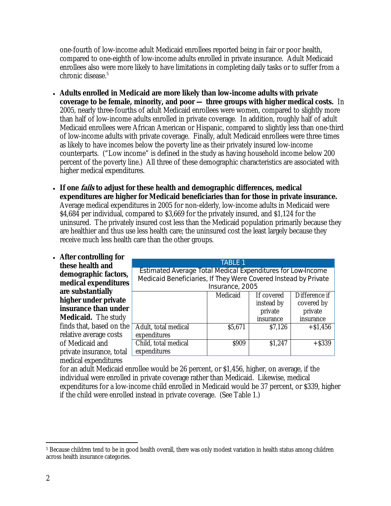one-fourth of low-income adult Medicaid enrollees reported being in fair or poor health, compared to one-eighth of low-income adults enrolled in private insurance. Adult Medicaid enrollees also were more likely to have limitations in completing daily tasks or to suffer from a chronic disease.<sup>5</sup>

- **Adults enrolled in Medicaid are more likely than low-income adults with private coverage to be female, minority, and poor — three groups with higher medical costs.** In 2005, nearly three-fourths of adult Medicaid enrollees were women, compared to slightly more than half of low-income adults enrolled in private coverage. In addition, roughly half of adult Medicaid enrollees were African American or Hispanic, compared to slightly less than one-third of low-income adults with private coverage. Finally, adult Medicaid enrollees were three times as likely to have incomes below the poverty line as their privately insured low-income counterparts. ("Low income" is defined in the study as having household income below 200 percent of the poverty line.) All three of these demographic characteristics are associated with higher medical expenditures.
- **If one fails to adjust for these health and demographic differences, medical expenditures are higher for Medicaid beneficiaries than for those in private insurance.** Average medical expenditures in 2005 for non-elderly, low-income adults in Medicaid were \$4,684 per individual, compared to \$3,669 for the privately insured, and \$1,124 for the uninsured. The privately insured cost less than the Medicaid population primarily because they are healthier and thus use less health care; the uninsured cost the least largely because they receive much less health care than the other groups.
- **After controlling for these health and demographic factors, medical expenditures are substantially higher under private insurance than under Medicaid.** The study finds that, based on the relative average costs of Medicaid and private insurance, total medical expenditures

| <b>TABLE 1</b>                                                     |          |            |               |  |  |  |  |
|--------------------------------------------------------------------|----------|------------|---------------|--|--|--|--|
| <b>Estimated Average Total Medical Expenditures for Low-Income</b> |          |            |               |  |  |  |  |
| Medicaid Beneficiaries, If They Were Covered Instead by Private    |          |            |               |  |  |  |  |
| Insurance, 2005                                                    |          |            |               |  |  |  |  |
|                                                                    | Medicaid | If covered | Difference if |  |  |  |  |
|                                                                    |          | instead by | covered by    |  |  |  |  |
|                                                                    |          | private    | private       |  |  |  |  |
|                                                                    |          | insurance  | insurance     |  |  |  |  |
| Adult, total medical                                               | \$5,671  | \$7,126    | $+ $1,456$    |  |  |  |  |
| expenditures                                                       |          |            |               |  |  |  |  |
| Child, total medical                                               | \$909    | \$1,247    | $+$ \$339     |  |  |  |  |
| expenditures                                                       |          |            |               |  |  |  |  |

for an adult Medicaid enrollee would be 26 percent, or \$1,456, higher, on average, if the individual were enrolled in private coverage rather than Medicaid. Likewise, medical expenditures for a low-income child enrolled in Medicaid would be 37 percent, or \$339, higher if the child were enrolled instead in private coverage. (See Table 1.)

 $\overline{a}$ <sup>5</sup> Because children tend to be in good health overall, there was only modest variation in health status among children across health insurance categories.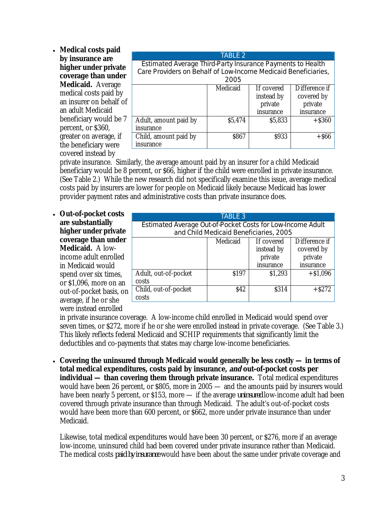• **Medical costs paid by insurance are higher under private coverage than under Medicaid.** Average medical costs paid by an insurer on behalf of an adult Medicaid beneficiary would be 7 percent, or \$360, greater on average, if the beneficiary were covered instead by

| Estimated Average Third-Party Insurance Payments to Health<br>Care Providers on Behalf of Low-Income Medicaid Beneficiaries, |          |                                                  |                                                     |  |  |  |
|------------------------------------------------------------------------------------------------------------------------------|----------|--------------------------------------------------|-----------------------------------------------------|--|--|--|
| 2005                                                                                                                         |          |                                                  |                                                     |  |  |  |
|                                                                                                                              | Medicaid | If covered<br>instead by<br>private<br>insurance | Difference if<br>covered by<br>private<br>insurance |  |  |  |
| Adult, amount paid by<br>insurance                                                                                           | \$5,474  | \$5,833                                          | $+$ \$360                                           |  |  |  |
| Child, amount paid by<br>insurance                                                                                           | \$867    | \$933                                            | $+$ S66                                             |  |  |  |

TABLE 2

private insurance. Similarly, the average amount paid by an insurer for a child Medicaid beneficiary would be 8 percent, or \$66, higher if the child were enrolled in private insurance. (See Table 2.) While the new research did not specifically examine this issue, average medical costs paid by insurers are lower for people on Medicaid likely because Medicaid has lower provider payment rates and administrative costs than private insurance does.

• **Out-of-pocket costs are substantially higher under private coverage than under Medicaid.** A lowincome adult enrolled in Medicaid would spend over six times, or \$1,096, more on an out-of-pocket basis, on average, if he or she were instead enrolled

| <b>TABLE 3</b>                                             |                  |            |               |  |  |  |  |
|------------------------------------------------------------|------------------|------------|---------------|--|--|--|--|
| Estimated Average Out-of-Pocket Costs for Low-Income Adult |                  |            |               |  |  |  |  |
| and Child Medicaid Beneficiaries, 2005                     |                  |            |               |  |  |  |  |
|                                                            | Medicaid         | If covered | Difference if |  |  |  |  |
|                                                            |                  | instead by | covered by    |  |  |  |  |
|                                                            |                  | private    | private       |  |  |  |  |
|                                                            |                  | insurance  | insurance     |  |  |  |  |
| Adult, out-of-pocket                                       | S <sub>197</sub> | \$1,293    | $+ $1,096$    |  |  |  |  |
| costs                                                      |                  |            |               |  |  |  |  |
| Child, out-of-pocket                                       | \$42             | \$314      | $+$ S272      |  |  |  |  |
| costs                                                      |                  |            |               |  |  |  |  |

in private insurance coverage. A low-income child enrolled in Medicaid would spend over seven times, or \$272, more if he or she were enrolled instead in private coverage. (See Table 3.) This likely reflects federal Medicaid and SCHIP requirements that significantly limit the deductibles and co-payments that states may charge low-income beneficiaries.

• **Covering the uninsured through Medicaid would generally be less costly — in terms of total medical expenditures, costs paid by insurance, and out-of-pocket costs per individual — than covering them through private insurance.** Total medical expenditures would have been 26 percent, or \$805, more in 2005 — and the amounts paid by insurers would have been nearly 5 percent, or \$153, more — if the average *uninsured* low-income adult had been covered through private insurance than through Medicaid. The adult's out-of-pocket costs would have been more than 600 percent, or \$662, more under private insurance than under Medicaid.

Likewise, total medical expenditures would have been 30 percent, or \$276, more if an average low-income, uninsured child had been covered under private insurance rather than Medicaid. The medical costs *paid by insurance* would have been about the same under private coverage and